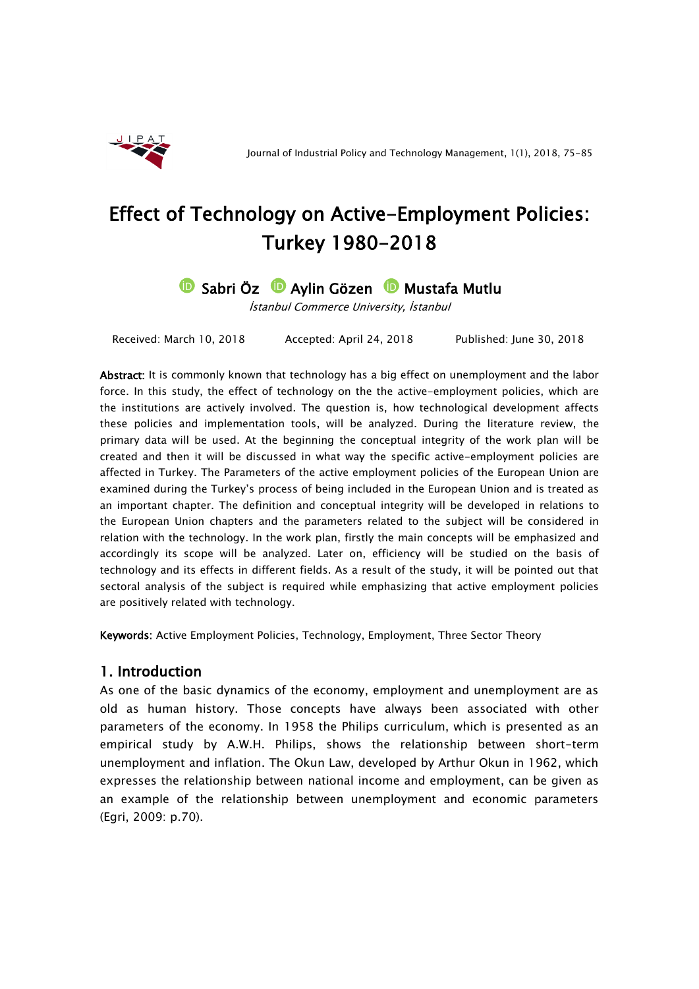

# Effect of Technology on Active-Employment Policies: Turkey 1980-2018

## **D** Sabri Öz **D** Aylin Gözen D Mustafa Mutlu

İstanbul Commerce University, İstanbul

Received: March 10, 2018 Accepted: April 24, 2018 Published: June 30, 2018

Abstract: It is commonly known that technology has a big effect on unemployment and the labor force. In this study, the effect of technology on the the active-employment policies, which are the institutions are actively involved. The question is, how technological development affects these policies and implementation tools, will be analyzed. During the literature review, the primary data will be used. At the beginning the conceptual integrity of the work plan will be created and then it will be discussed in what way the specific active-employment policies are affected in Turkey. The Parameters of the active employment policies of the European Union are examined during the Turkey's process of being included in the European Union and is treated as an important chapter. The definition and conceptual integrity will be developed in relations to the European Union chapters and the parameters related to the subject will be considered in relation with the technology. In the work plan, firstly the main concepts will be emphasized and accordingly its scope will be analyzed. Later on, efficiency will be studied on the basis of technology and its effects in different fields. As a result of the study, it will be pointed out that sectoral analysis of the subject is required while emphasizing that active employment policies are positively related with technology.

Keywords: Active Employment Policies, Technology, Employment, Three Sector Theory

#### 1. Introduction

As one of the basic dynamics of the economy, employment and unemployment are as old as human history. Those concepts have always been associated with other parameters of the economy. In 1958 the Philips curriculum, which is presented as an empirical study by A.W.H. Philips, shows the relationship between short-term unemployment and inflation. The Okun Law, developed by Arthur Okun in 1962, which expresses the relationship between national income and employment, can be given as an example of the relationship between unemployment and economic parameters (Egri, 2009: p.70).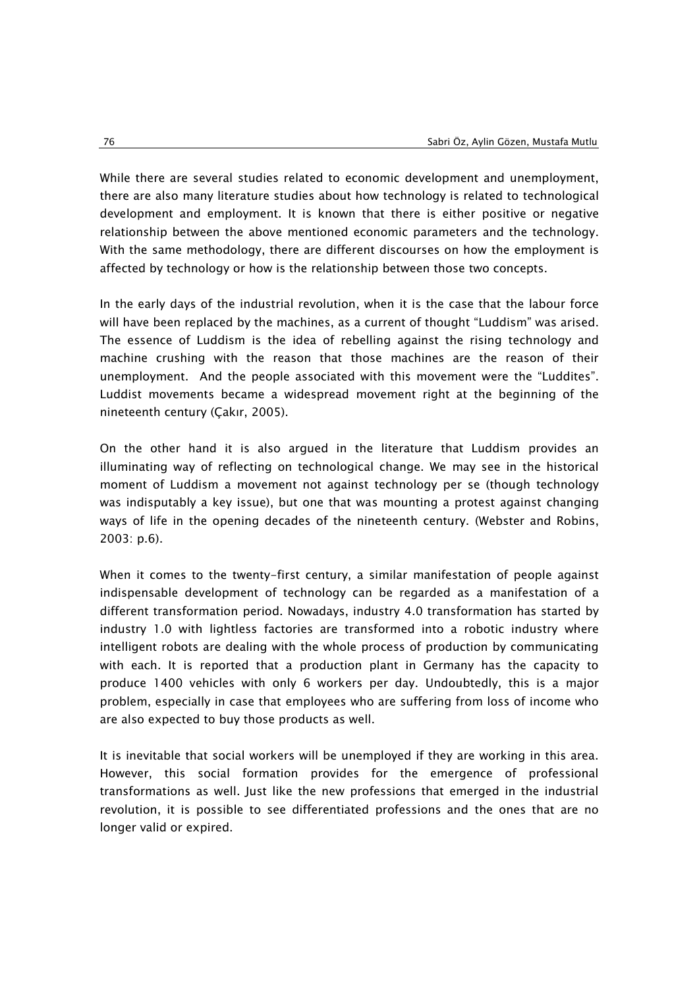While there are several studies related to economic development and unemployment, there are also many literature studies about how technology is related to technological development and employment. It is known that there is either positive or negative relationship between the above mentioned economic parameters and the technology. With the same methodology, there are different discourses on how the employment is affected by technology or how is the relationship between those two concepts.

In the early days of the industrial revolution, when it is the case that the labour force will have been replaced by the machines, as a current of thought "Luddism" was arised. The essence of Luddism is the idea of rebelling against the rising technology and machine crushing with the reason that those machines are the reason of their unemployment. And the people associated with this movement were the "Luddites". Luddist movements became a widespread movement right at the beginning of the nineteenth century (Çakır, 2005).

On the other hand it is also argued in the literature that Luddism provides an illuminating way of reflecting on technological change. We may see in the historical moment of Luddism a movement not against technology per se (though technology was indisputably a key issue), but one that was mounting a protest against changing ways of life in the opening decades of the nineteenth century. (Webster and Robins, 2003: p.6).

When it comes to the twenty-first century, a similar manifestation of people against indispensable development of technology can be regarded as a manifestation of a different transformation period. Nowadays, industry 4.0 transformation has started by industry 1.0 with lightless factories are transformed into a robotic industry where intelligent robots are dealing with the whole process of production by communicating with each. It is reported that a production plant in Germany has the capacity to produce 1400 vehicles with only 6 workers per day. Undoubtedly, this is a major problem, especially in case that employees who are suffering from loss of income who are also expected to buy those products as well.

It is inevitable that social workers will be unemployed if they are working in this area. However, this social formation provides for the emergence of professional transformations as well. Just like the new professions that emerged in the industrial revolution, it is possible to see differentiated professions and the ones that are no longer valid or expired.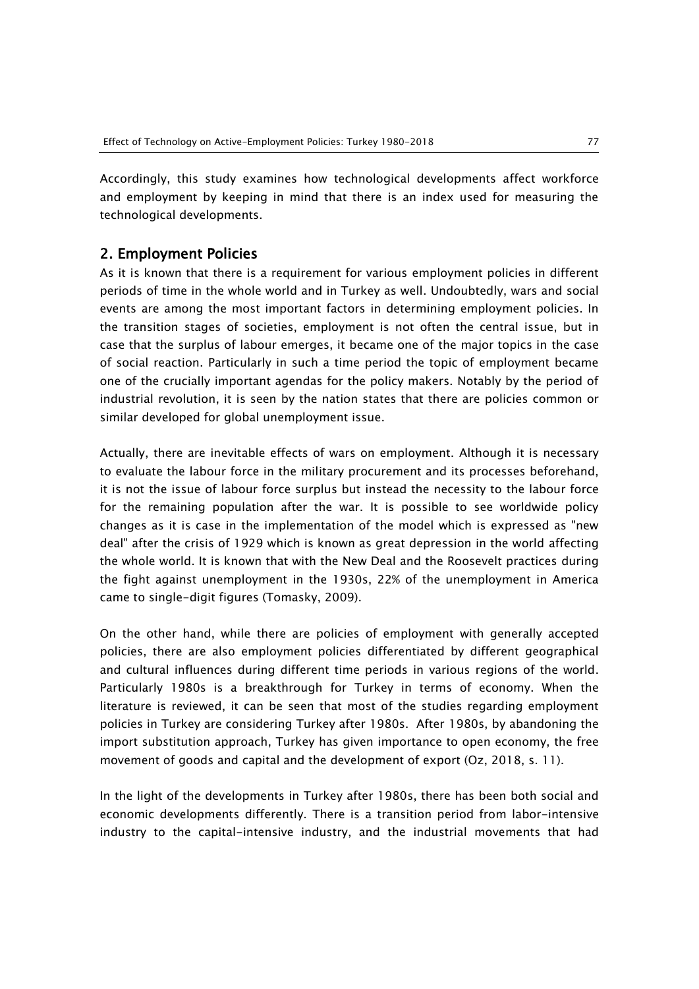Accordingly, this study examines how technological developments affect workforce and employment by keeping in mind that there is an index used for measuring the technological developments.

#### 2. Employment Policies

As it is known that there is a requirement for various employment policies in different periods of time in the whole world and in Turkey as well. Undoubtedly, wars and social events are among the most important factors in determining employment policies. In the transition stages of societies, employment is not often the central issue, but in case that the surplus of labour emerges, it became one of the major topics in the case of social reaction. Particularly in such a time period the topic of employment became one of the crucially important agendas for the policy makers. Notably by the period of industrial revolution, it is seen by the nation states that there are policies common or similar developed for global unemployment issue.

Actually, there are inevitable effects of wars on employment. Although it is necessary to evaluate the labour force in the military procurement and its processes beforehand, it is not the issue of labour force surplus but instead the necessity to the labour force for the remaining population after the war. It is possible to see worldwide policy changes as it is case in the implementation of the model which is expressed as "new deal" after the crisis of 1929 which is known as great depression in the world affecting the whole world. It is known that with the New Deal and the Roosevelt practices during the fight against unemployment in the 1930s, 22% of the unemployment in America came to single-digit figures (Tomasky, 2009).

On the other hand, while there are policies of employment with generally accepted policies, there are also employment policies differentiated by different geographical and cultural influences during different time periods in various regions of the world. Particularly 1980s is a breakthrough for Turkey in terms of economy. When the literature is reviewed, it can be seen that most of the studies regarding employment policies in Turkey are considering Turkey after 1980s. After 1980s, by abandoning the import substitution approach, Turkey has given importance to open economy, the free movement of goods and capital and the development of export (Oz, 2018, s. 11).

In the light of the developments in Turkey after 1980s, there has been both social and economic developments differently. There is a transition period from labor-intensive industry to the capital-intensive industry, and the industrial movements that had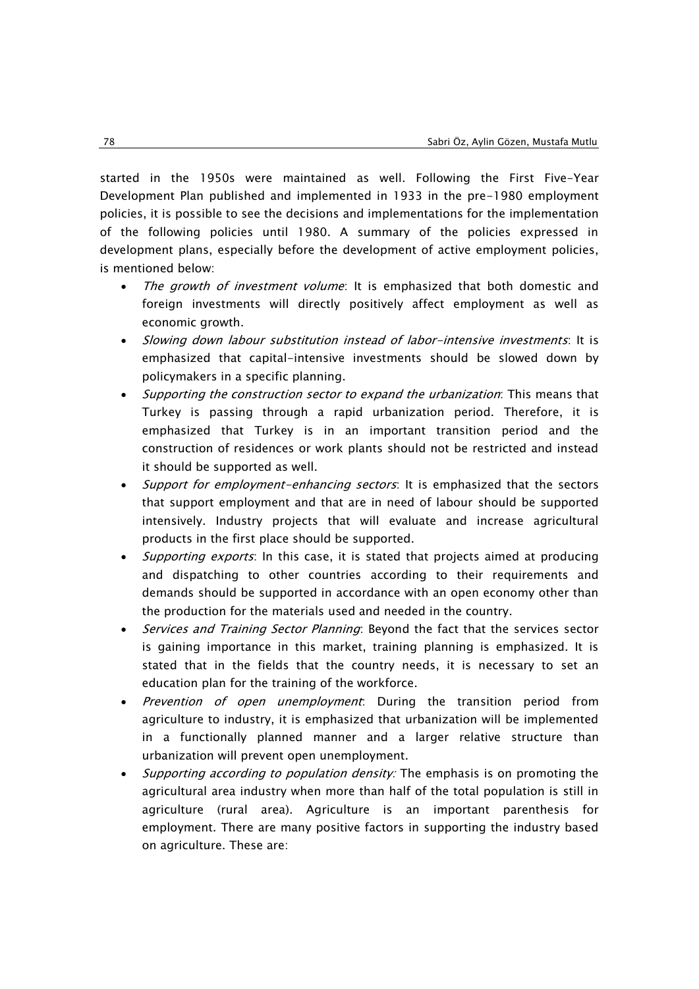started in the 1950s were maintained as well. Following the First Five-Year Development Plan published and implemented in 1933 in the pre-1980 employment policies, it is possible to see the decisions and implementations for the implementation of the following policies until 1980. A summary of the policies expressed in development plans, especially before the development of active employment policies, is mentioned below:

- The growth of investment volume: It is emphasized that both domestic and foreign investments will directly positively affect employment as well as economic growth.
- Slowing down labour substitution instead of labor-intensive investments: It is emphasized that capital-intensive investments should be slowed down by policymakers in a specific planning.
- Supporting the construction sector to expand the urbanization: This means that Turkey is passing through a rapid urbanization period. Therefore, it is emphasized that Turkey is in an important transition period and the construction of residences or work plants should not be restricted and instead it should be supported as well.
- Support for employment-enhancing sectors: It is emphasized that the sectors that support employment and that are in need of labour should be supported intensively. Industry projects that will evaluate and increase agricultural products in the first place should be supported.
- Supporting exports: In this case, it is stated that projects aimed at producing and dispatching to other countries according to their requirements and demands should be supported in accordance with an open economy other than the production for the materials used and needed in the country.
- Services and Training Sector Planning: Beyond the fact that the services sector is gaining importance in this market, training planning is emphasized. It is stated that in the fields that the country needs, it is necessary to set an education plan for the training of the workforce.
- Prevention of open unemployment: During the transition period from agriculture to industry, it is emphasized that urbanization will be implemented in a functionally planned manner and a larger relative structure than urbanization will prevent open unemployment.
- Supporting according to population density: The emphasis is on promoting the agricultural area industry when more than half of the total population is still in agriculture (rural area). Agriculture is an important parenthesis for employment. There are many positive factors in supporting the industry based on agriculture. These are: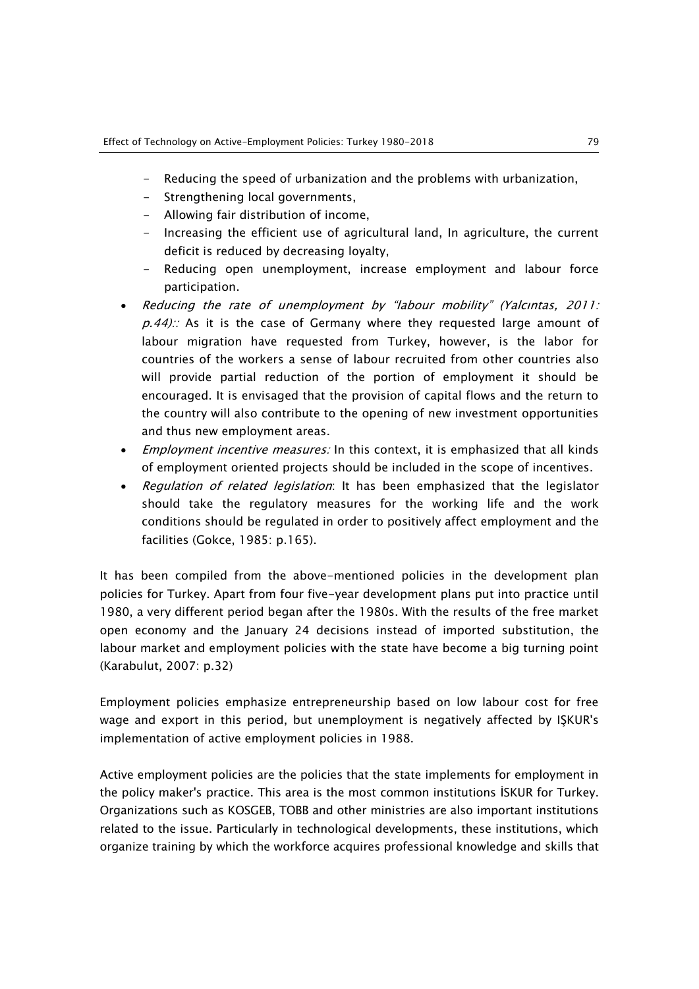- Reducing the speed of urbanization and the problems with urbanization,
- Strengthening local governments,
- Allowing fair distribution of income,
- Increasing the efficient use of agricultural land, In agriculture, the current deficit is reduced by decreasing loyalty,
- Reducing open unemployment, increase employment and labour force participation.
- Reducing the rate of unemployment by "labour mobility" (Yalcıntas, 2011:  $p.44$ ): As it is the case of Germany where they requested large amount of labour migration have requested from Turkey, however, is the labor for countries of the workers a sense of labour recruited from other countries also will provide partial reduction of the portion of employment it should be encouraged. It is envisaged that the provision of capital flows and the return to the country will also contribute to the opening of new investment opportunities and thus new employment areas.
- Employment incentive measures: In this context, it is emphasized that all kinds of employment oriented projects should be included in the scope of incentives.
- Regulation of related legislation: It has been emphasized that the legislator should take the regulatory measures for the working life and the work conditions should be regulated in order to positively affect employment and the facilities (Gokce, 1985: p.165).

It has been compiled from the above-mentioned policies in the development plan policies for Turkey. Apart from four five-year development plans put into practice until 1980, a very different period began after the 1980s. With the results of the free market open economy and the January 24 decisions instead of imported substitution, the labour market and employment policies with the state have become a big turning point (Karabulut, 2007: p.32)

Employment policies emphasize entrepreneurship based on low labour cost for free wage and export in this period, but unemployment is negatively affected by IŞKUR's implementation of active employment policies in 1988.

Active employment policies are the policies that the state implements for employment in the policy maker's practice. This area is the most common institutions İSKUR for Turkey. Organizations such as KOSGEB, TOBB and other ministries are also important institutions related to the issue. Particularly in technological developments, these institutions, which organize training by which the workforce acquires professional knowledge and skills that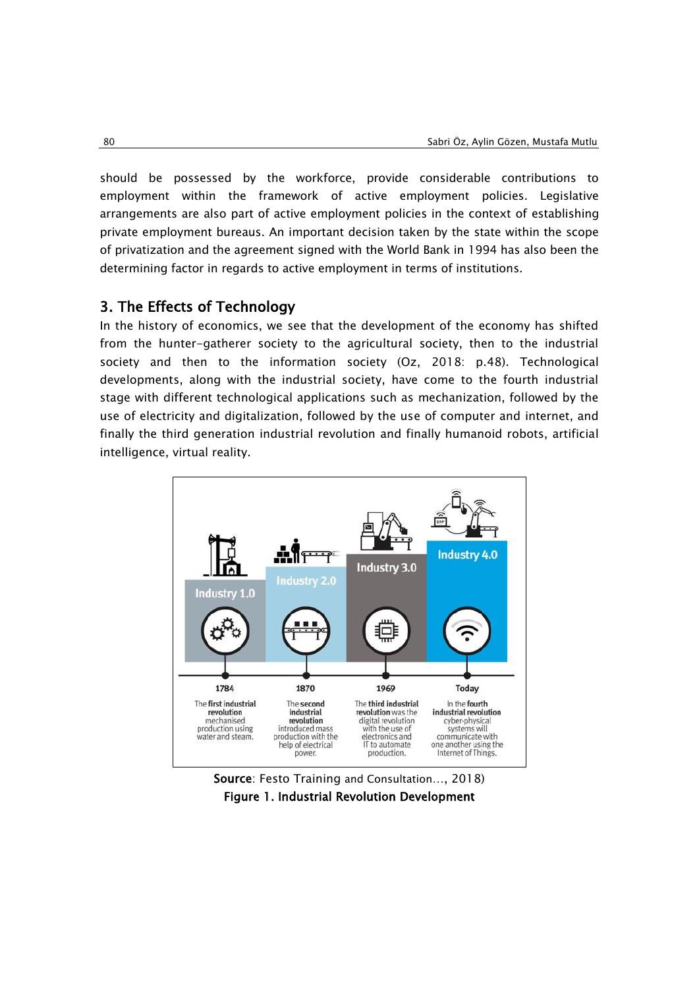should be possessed by the workforce, provide considerable contributions to employment within the framework of active employment policies. Legislative arrangements are also part of active employment policies in the context of establishing private employment bureaus. An important decision taken by the state within the scope of privatization and the agreement signed with the World Bank in 1994 has also been the determining factor in regards to active employment in terms of institutions.

#### 3. The Effects of Technology

In the history of economics, we see that the development of the economy has shifted from the hunter-gatherer society to the agricultural society, then to the industrial society and then to the information society (Oz, 2018: p.48). Technological developments, along with the industrial society, have come to the fourth industrial stage with different technological applications such as mechanization, followed by the use of electricity and digitalization, followed by the use of computer and internet, and finally the third generation industrial revolution and finally humanoid robots, artificial intelligence, virtual reality.



Source: Festo Training and Consultation…, 2018) Figure 1. Industrial Revolution Development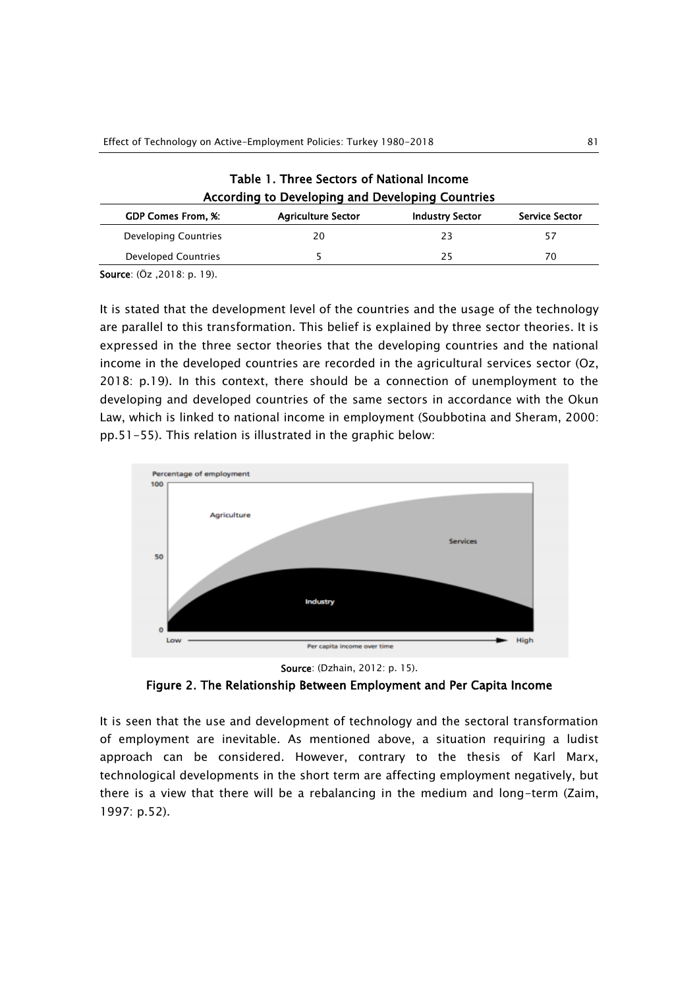| Table 1. Three Sectors of National Income<br>According to Developing and Developing Countries |                           |                        |                |
|-----------------------------------------------------------------------------------------------|---------------------------|------------------------|----------------|
| <b>GDP Comes From, %:</b>                                                                     | <b>Agriculture Sector</b> | <b>Industry Sector</b> | Service Sector |
| Developing Countries                                                                          | 20                        | 23                     | 57             |
| Developed Countries                                                                           |                           | 25                     | 70             |

Source: (Öz ,2018: p. 19).

It is stated that the development level of the countries and the usage of the technology are parallel to this transformation. This belief is explained by three sector theories. It is expressed in the three sector theories that the developing countries and the national income in the developed countries are recorded in the agricultural services sector (Oz, 2018: p.19). In this context, there should be a connection of unemployment to the developing and developed countries of the same sectors in accordance with the Okun Law, which is linked to national income in employment (Soubbotina and Sheram, 2000: pp.51-55). This relation is illustrated in the graphic below:



Source: (Dzhain, 2012: p. 15).

Figure 2. The Relationship Between Employment and Per Capita Income

It is seen that the use and development of technology and the sectoral transformation of employment are inevitable. As mentioned above, a situation requiring a ludist approach can be considered. However, contrary to the thesis of Karl Marx, technological developments in the short term are affecting employment negatively, but there is a view that there will be a rebalancing in the medium and long-term (Zaim, 1997: p.52).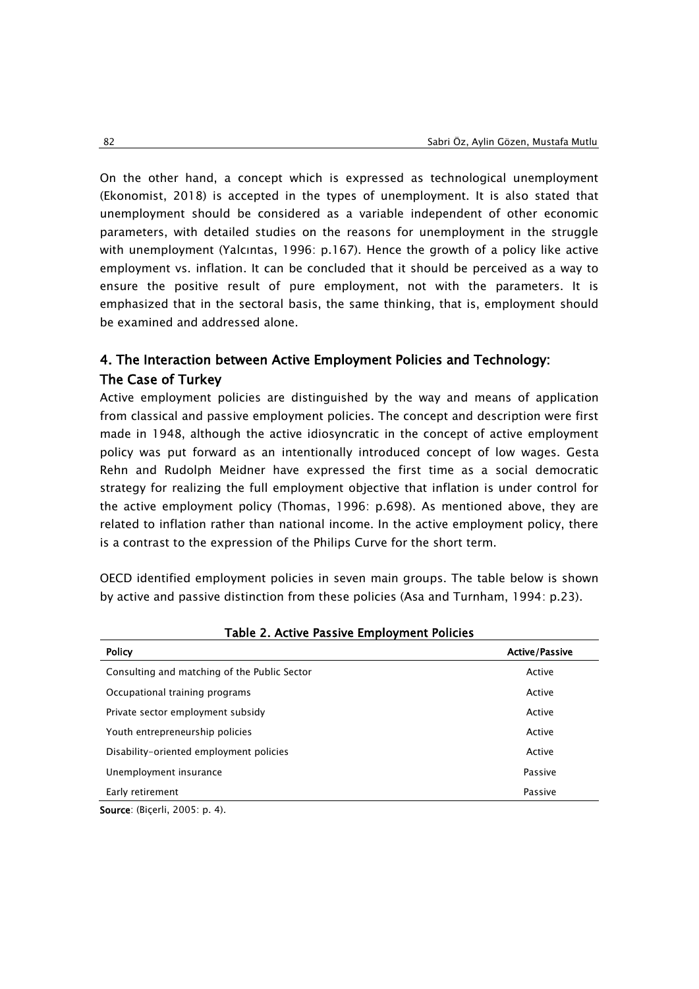On the other hand, a concept which is expressed as technological unemployment (Ekonomist, 2018) is accepted in the types of unemployment. It is also stated that unemployment should be considered as a variable independent of other economic parameters, with detailed studies on the reasons for unemployment in the struggle with unemployment (Yalcıntas, 1996: p.167). Hence the growth of a policy like active employment vs. inflation. It can be concluded that it should be perceived as a way to ensure the positive result of pure employment, not with the parameters. It is emphasized that in the sectoral basis, the same thinking, that is, employment should be examined and addressed alone.

### 4. The Interaction between Active Employment Policies and Technology: The Case of Turkey

Active employment policies are distinguished by the way and means of application from classical and passive employment policies. The concept and description were first made in 1948, although the active idiosyncratic in the concept of active employment policy was put forward as an intentionally introduced concept of low wages. Gesta Rehn and Rudolph Meidner have expressed the first time as a social democratic strategy for realizing the full employment objective that inflation is under control for the active employment policy (Thomas, 1996: p.698). As mentioned above, they are related to inflation rather than national income. In the active employment policy, there is a contrast to the expression of the Philips Curve for the short term.

OECD identified employment policies in seven main groups. The table below is shown by active and passive distinction from these policies (Asa and Turnham, 1994: p.23).

| Table 2. ACTIVE FASSIVE LITIDIOVITIENT FUILTES |                       |
|------------------------------------------------|-----------------------|
| <b>Policy</b>                                  | <b>Active/Passive</b> |
| Consulting and matching of the Public Sector   | Active                |
| Occupational training programs                 | Active                |
| Private sector employment subsidy              | Active                |
| Youth entrepreneurship policies                | Active                |
| Disability-oriented employment policies        | Active                |
| Unemployment insurance                         | Passive               |
| Early retirement                               | Passive               |
| $\sqrt{2}$                                     |                       |

Table 2. Active Passive Employment Policies

Source: (Biçerli, 2005: p. 4).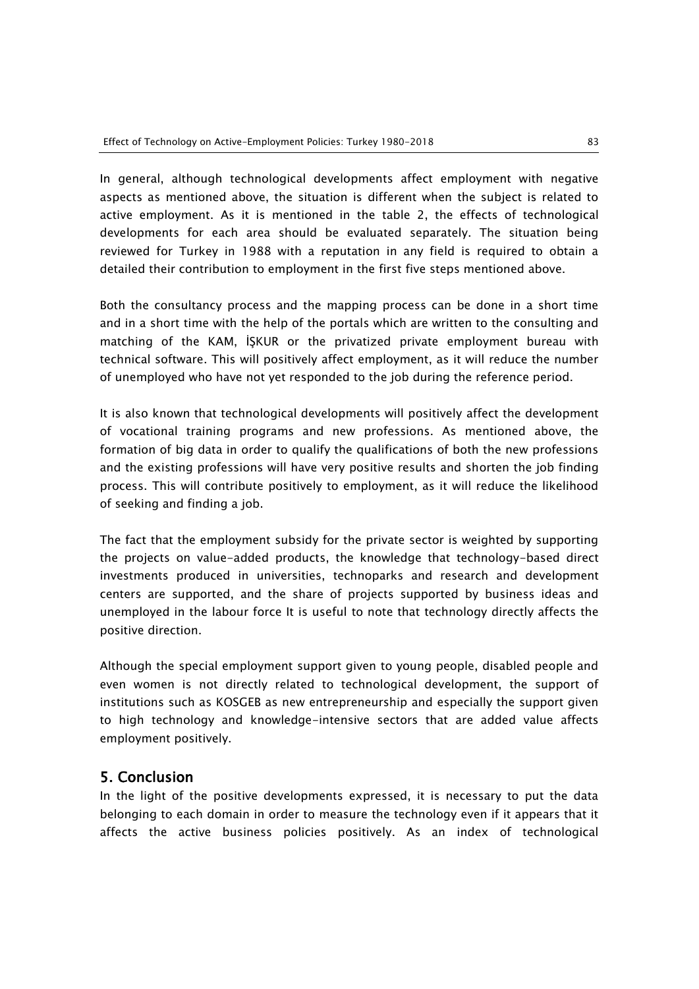In general, although technological developments affect employment with negative aspects as mentioned above, the situation is different when the subject is related to active employment. As it is mentioned in the table 2, the effects of technological developments for each area should be evaluated separately. The situation being reviewed for Turkey in 1988 with a reputation in any field is required to obtain a detailed their contribution to employment in the first five steps mentioned above.

Both the consultancy process and the mapping process can be done in a short time and in a short time with the help of the portals which are written to the consulting and matching of the KAM, İŞKUR or the privatized private employment bureau with technical software. This will positively affect employment, as it will reduce the number of unemployed who have not yet responded to the job during the reference period.

It is also known that technological developments will positively affect the development of vocational training programs and new professions. As mentioned above, the formation of big data in order to qualify the qualifications of both the new professions and the existing professions will have very positive results and shorten the job finding process. This will contribute positively to employment, as it will reduce the likelihood of seeking and finding a job.

The fact that the employment subsidy for the private sector is weighted by supporting the projects on value-added products, the knowledge that technology-based direct investments produced in universities, technoparks and research and development centers are supported, and the share of projects supported by business ideas and unemployed in the labour force It is useful to note that technology directly affects the positive direction.

Although the special employment support given to young people, disabled people and even women is not directly related to technological development, the support of institutions such as KOSGEB as new entrepreneurship and especially the support given to high technology and knowledge-intensive sectors that are added value affects employment positively.

#### 5. Conclusion

In the light of the positive developments expressed, it is necessary to put the data belonging to each domain in order to measure the technology even if it appears that it affects the active business policies positively. As an index of technological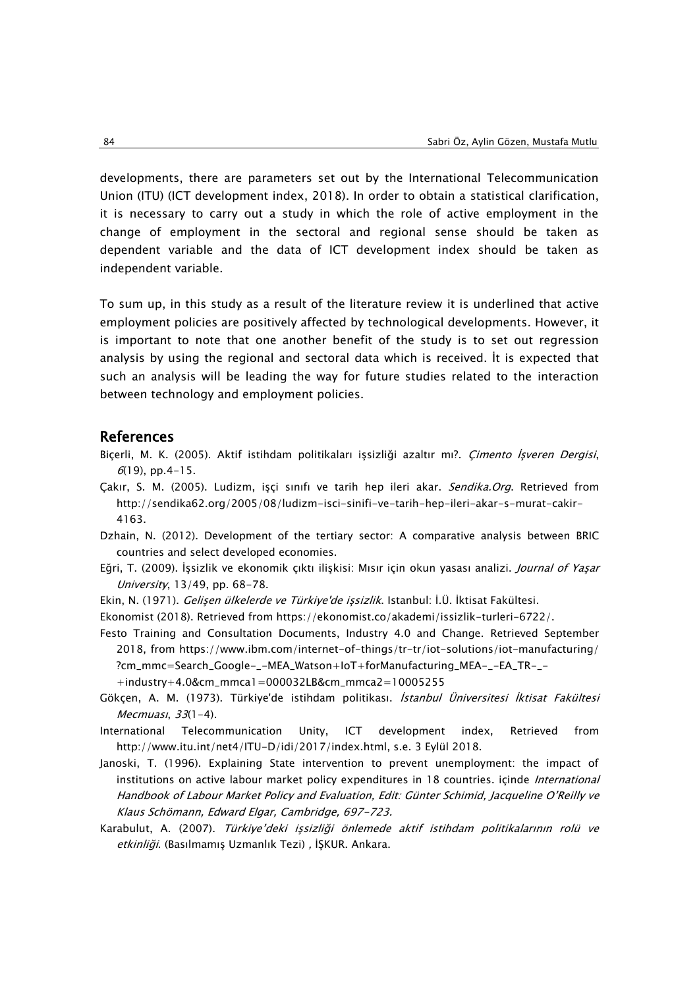developments, there are parameters set out by the International Telecommunication Union (ITU) (ICT development index, 2018). In order to obtain a statistical clarification, it is necessary to carry out a study in which the role of active employment in the change of employment in the sectoral and regional sense should be taken as dependent variable and the data of ICT development index should be taken as independent variable.

To sum up, in this study as a result of the literature review it is underlined that active employment policies are positively affected by technological developments. However, it is important to note that one another benefit of the study is to set out regression analysis by using the regional and sectoral data which is received. İt is expected that such an analysis will be leading the way for future studies related to the interaction between technology and employment policies.

#### References

- Biçerli, M. K. (2005). Aktif istihdam politikaları işsizliği azaltır mı?. Çimento İşveren Dergisi,  $6(19)$ , pp. 4-15.
- Çakır, S. M. (2005). Ludizm, işçi sınıfı ve tarih hep ileri akar. Sendika.Org. Retrieved from http://sendika62.org/2005/08/ludizm-isci-sinifi-ve-tarih-hep-ileri-akar-s-murat-cakir-4163.
- Dzhain, N. (2012). Development of the tertiary sector: A comparative analysis between BRIC countries and select developed economies.
- Eğri, T. (2009). İşsizlik ve ekonomik çıktı ilişkisi: Mısır için okun yasası analizi. Journal of Yaşar University, 13/49, pp. 68-78.
- Ekin, N. (1971). Gelişen ülkelerde ve Türkiye'de işsizlik. Istanbul: İ.Ü. İktisat Fakültesi.
- Ekonomist (2018). Retrieved from https://ekonomist.co/akademi/issizlik-turleri-6722/.
- Festo Training and Consultation Documents, Industry 4.0 and Change. Retrieved September 2018, from https://www.ibm.com/internet-of-things/tr-tr/iot-solutions/iot-manufacturing/ ?cm\_mmc=Search\_Google-\_-MEA\_Watson+IoT+forManufacturing\_MEA-\_-EA\_TR-\_- +industry+4.0&cm\_mmca1=000032LB&cm\_mmca2=10005255
- Gökçen, A. M. (1973). Türkiye'de istihdam politikası. İstanbul Üniversitesi İktisat Fakültesi Mecmuası, 33(1-4).
- International Telecommunication Unity, ICT development index, Retrieved from http://www.itu.int/net4/ITU-D/idi/2017/index.html, s.e. 3 Eylül 2018.
- Janoski, T. (1996). Explaining State intervention to prevent unemployment: the impact of institutions on active labour market policy expenditures in 18 countries. içinde International Handbook of Labour Market Policy and Evaluation, Edit: Günter Schimid, Jacqueline O'Reilly ve Klaus Schömann, Edward Elgar, Cambridge, 697-723.
- Karabulut, A. (2007). Türkiye'deki işsizliği önlemede aktif istihdam politikalarının rolü ve etkinliği. (Basılmamış Uzmanlık Tezi) , İŞKUR. Ankara.